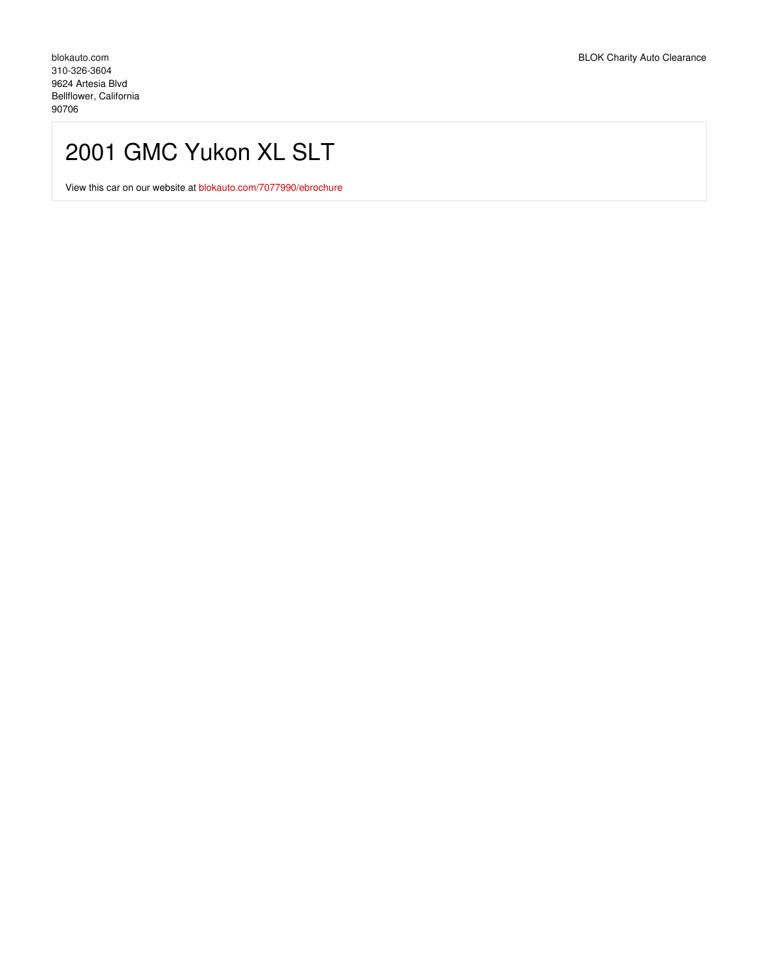## 2001 GMC Yukon XL SLT

View this car on our website at [blokauto.com/7077990/ebrochure](https://blokauto.com/vehicle/7077990/2001-gmc-yukon-xl-slt-bellflower-california-90706/7077990/ebrochure)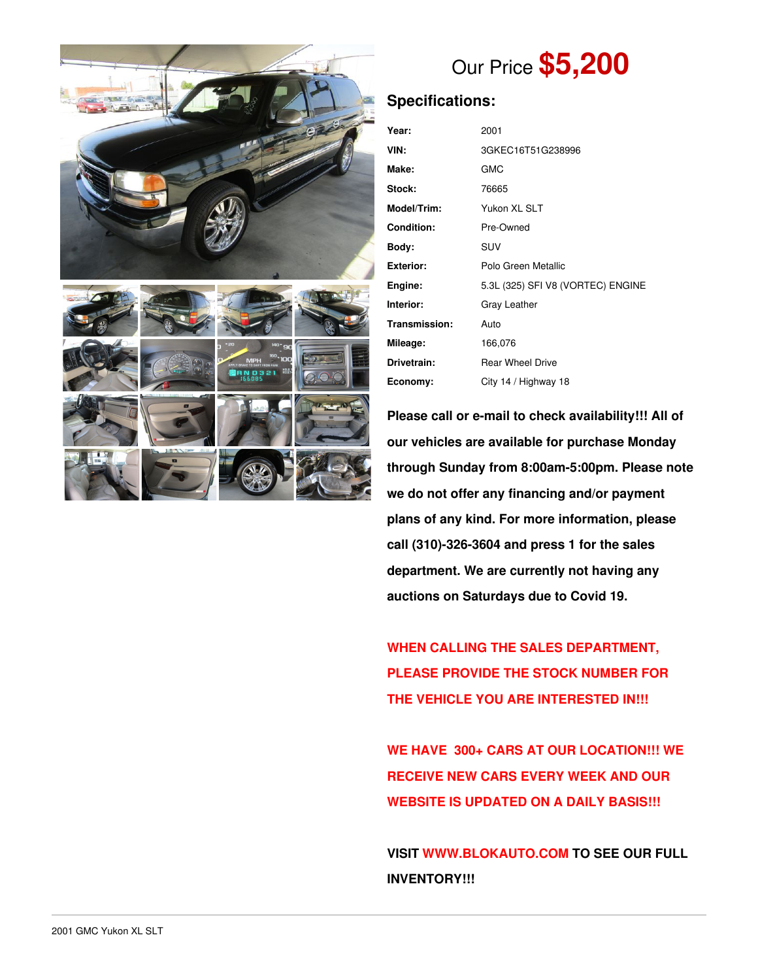

# Our Price **\$5,200**

## **Specifications:**

| Year:             | 2001                              |  |  |
|-------------------|-----------------------------------|--|--|
| VIN:              | 3GKEC16T51G238996                 |  |  |
| Make:             | <b>GMC</b>                        |  |  |
| Stock:            | 76665                             |  |  |
| Model/Trim:       | Yukon XL SLT                      |  |  |
| <b>Condition:</b> | Pre-Owned                         |  |  |
| Body:             | <b>SUV</b>                        |  |  |
| <b>Exterior:</b>  | Polo Green Metallic               |  |  |
| Engine:           | 5.3L (325) SFI V8 (VORTEC) ENGINE |  |  |
| Interior:         | Gray Leather                      |  |  |
| Transmission:     | Auto                              |  |  |
| Mileage:          | 166,076                           |  |  |
| Drivetrain:       | <b>Rear Wheel Drive</b>           |  |  |
| Economy:          | City 14 / Highway 18              |  |  |

**Please call or e-mail to check availability!!! All of our vehicles are available for purchase Monday through Sunday from 8:00am-5:00pm. Please note we do not offer any financing and/or payment plans of any kind. For more information, please call (310)-326-3604 and press 1 for the sales department. We are currently not having any auctions on Saturdays due to Covid 19.**

**WHEN CALLING THE SALES DEPARTMENT, PLEASE PROVIDE THE STOCK NUMBER FOR THE VEHICLE YOU ARE INTERESTED IN!!!**

**WE HAVE 300+ CARS AT OUR LOCATION!!! WE RECEIVE NEW CARS EVERY WEEK AND OUR WEBSITE IS UPDATED ON A DAILY BASIS!!!**

**VISIT [WWW.BLOKAUTO.COM](http://www.blockauto.com) TO SEE OUR FULL INVENTORY!!!**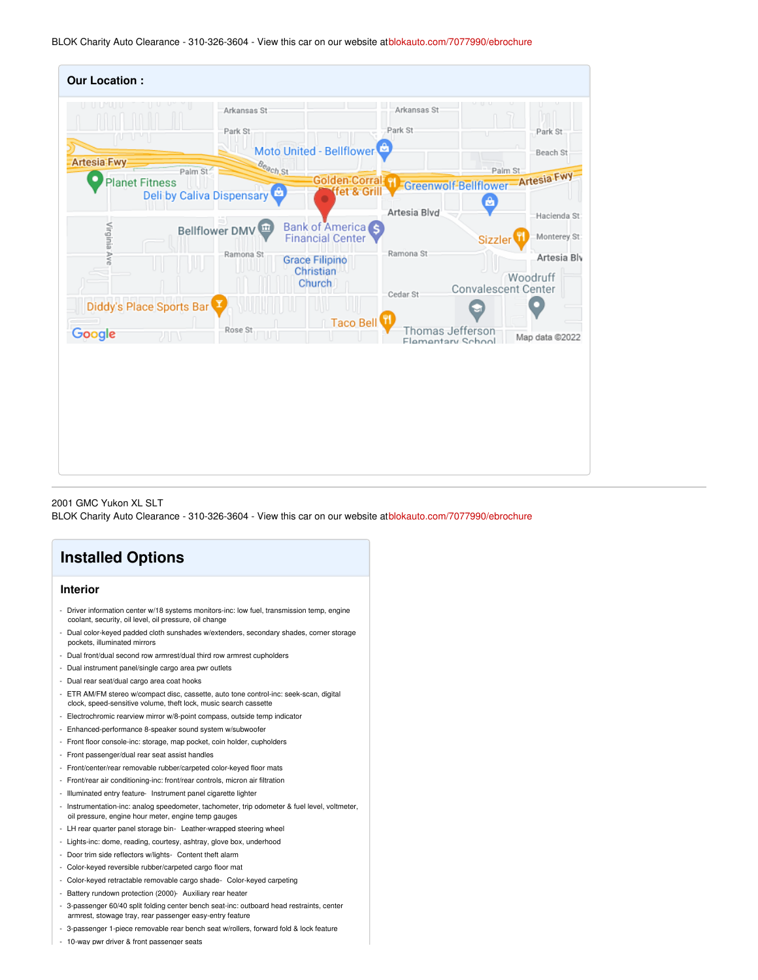BLOK Charity Auto Clearance - 310-326-3604 - View this car on our website at[blokauto.com/7077990/ebrochure](https://blokauto.com/vehicle/7077990/2001-gmc-yukon-xl-slt-bellflower-california-90706/7077990/ebrochure)

| <b>Our Location:</b>                        |                                                |                                                                                                     |                        |                                                                                                       |
|---------------------------------------------|------------------------------------------------|-----------------------------------------------------------------------------------------------------|------------------------|-------------------------------------------------------------------------------------------------------|
| <b>Artesia-Fwy</b><br><b>Planet Fitness</b> | Arkansas St<br>Park St.<br>Beach St<br>Palm St | Moto United - Bellflower<br>Golden Corral H                                                         | Arkansas St<br>Park St | Park St<br>TГ<br>Beach St<br>Palm St<br>Greenwolf-Bellflower-Artesia Fwy                              |
|                                             | Deli by Caliva Dispensary                      | fet & Grill                                                                                         | Artesia Blvd           | A                                                                                                     |
| Virginia Ave                                | Bellflower DMV<br>Ramona St                    | <b>Bank of America</b> S<br><b>Financial Center</b><br><b>Grace Filipino</b><br>Christian<br>Church | Ramona St<br>Cedar St  | Hacienda St<br>Monterey St<br><b>Sizzler</b><br>Artesia Blv<br>Woodruff<br><b>Convalescent Center</b> |
| Diddy's Place Sports Bar<br>Google          | Rose St<br>w<br>w                              | Taco Bell                                                                                           | Thomas Jefferson       | Map data @2022                                                                                        |
|                                             |                                                |                                                                                                     | Flamentary School      |                                                                                                       |

2001 GMC Yukon XL SLT

BLOK Charity Auto Clearance - 310-326-3604 - View this car on our website at[blokauto.com/7077990/ebrochure](https://blokauto.com/vehicle/7077990/2001-gmc-yukon-xl-slt-bellflower-california-90706/7077990/ebrochure)

# **Installed Options**

### **Interior**

- Driver information center w/18 systems monitors-inc: low fuel, transmission temp, engine coolant, security, oil level, oil pressure, oil change
- Dual color-keyed padded cloth sunshades w/extenders, secondary shades, corner storage pockets, illuminated mirrors
- Dual front/dual second row armrest/dual third row armrest cupholders
- Dual instrument panel/single cargo area pwr outlets
- Dual rear seat/dual cargo area coat hooks
- ETR AM/FM stereo w/compact disc, cassette, auto tone control-inc: seek-scan, digital clock, speed-sensitive volume, theft lock, music search cassette
- Electrochromic rearview mirror w/8-point compass, outside temp indicator
- Enhanced-performance 8-speaker sound system w/subwoofer
- Front floor console-inc: storage, map pocket, coin holder, cupholders
- Front passenger/dual rear seat assist handles
- Front/center/rear removable rubber/carpeted color-keyed floor mats
- Front/rear air conditioning-inc: front/rear controls, micron air filtration
- Illuminated entry feature- Instrument panel cigarette lighter
- Instrumentation-inc: analog speedometer, tachometer, trip odometer & fuel level, voltmeter, oil pressure, engine hour meter, engine temp gauges
- LH rear quarter panel storage bin- Leather-wrapped steering wheel
- Lights-inc: dome, reading, courtesy, ashtray, glove box, underhood
- Door trim side reflectors w/lights- Content theft alarm
- Color-keyed reversible rubber/carpeted cargo floor mat
- Color-keyed retractable removable cargo shade- Color-keyed carpeting
- Battery rundown protection (2000)- Auxiliary rear heater
- 3-passenger 60/40 split folding center bench seat-inc: outboard head restraints, center
- armrest, stowage tray, rear passenger easy-entry feature
- 3-passenger 1-piece removable rear bench seat w/rollers, forward fold & lock feature
- 10-way pwr driver & front passenger seats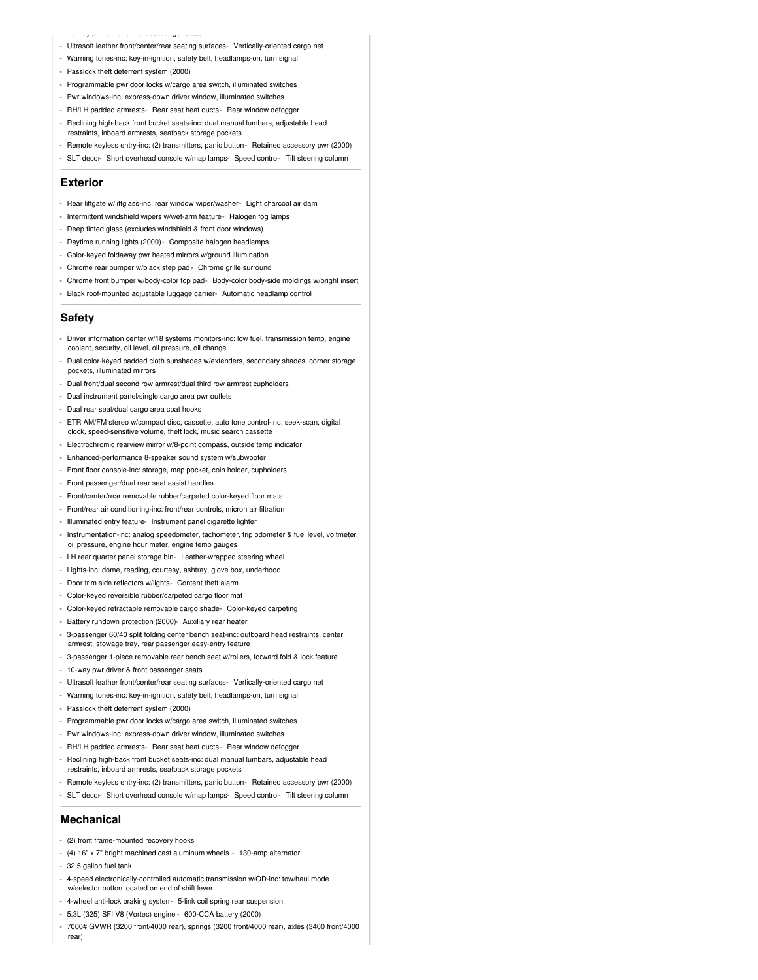#### - 10-way pwr driver & front passenger seats

- Ultrasoft leather front/center/rear seating surfaces- Vertically-oriented cargo net
- Warning tones-inc: key-in-ignition, safety belt, headlamps-on, turn signal
- Passlock theft deterrent system (2000)
- Programmable pwr door locks w/cargo area switch, illuminated switches
- Pwr windows-inc: express-down driver window, illuminated switches
- RH/LH padded armrests- Rear seat heat ducts- Rear window defogger
- Reclining high-back front bucket seats-inc: dual manual lumbars, adjustable head restraints, inboard armrests, seatback storage pockets
- Remote keyless entry-inc: (2) transmitters, panic button- Retained accessory pwr (2000)
- SLT decor-Short overhead console w/map lamps-Speed control-Tilt steering column

#### **Exterior**

- Rear liftgate w/liftglass-inc: rear window wiper/washer- Light charcoal air dam
- Intermittent windshield wipers w/wet-arm feature- Halogen fog lamps
- Deep tinted glass (excludes windshield & front door windows)
- Daytime running lights (2000)- Composite halogen headlamps
- Color-keyed foldaway pwr heated mirrors w/ground illumination
- Chrome rear bumper w/black step pad- Chrome grille surround
- Chrome front bumper w/body-color top pad- Body-color body-side moldings w/bright insert
- Black roof-mounted adjustable luggage carrier- Automatic headlamp control

### **Safety**

- Driver information center w/18 systems monitors-inc: low fuel, transmission temp, engine coolant, security, oil level, oil pressure, oil change
- Dual color-keyed padded cloth sunshades w/extenders, secondary shades, corner storage pockets, illuminated mirrors
- Dual front/dual second row armrest/dual third row armrest cupholders
- Dual instrument panel/single cargo area pwr outlets
- Dual rear seat/dual cargo area coat hooks
- ETR AM/FM stereo w/compact disc, cassette, auto tone control-inc: seek-scan, digital clock, speed-sensitive volume, theft lock, music search cassette
- Electrochromic rearview mirror w/8-point compass, outside temp indicator
- Enhanced-performance 8-speaker sound system w/subwoofer
- Front floor console-inc: storage, map pocket, coin holder, cupholders
- Front passenger/dual rear seat assist handles
- Front/center/rear removable rubber/carpeted color-keyed floor mats
- Front/rear air conditioning-inc: front/rear controls, micron air filtration
- Illuminated entry feature- Instrument panel cigarette lighter
- Instrumentation-inc: analog speedometer, tachometer, trip odometer & fuel level, voltmeter, oil pressure, engine hour meter, engine temp gauges
- LH rear quarter panel storage bin- Leather-wrapped steering wheel
- Lights-inc: dome, reading, courtesy, ashtray, glove box, underhood
- Door trim side reflectors w/lights- Content theft alarm
- Color-keyed reversible rubber/carpeted cargo floor mat
- Color-keyed retractable removable cargo shade- Color-keyed carpeting
- Battery rundown protection (2000)- Auxiliary rear heater
- 3-passenger 60/40 split folding center bench seat-inc: outboard head restraints, center armrest, stowage tray, rear passenger easy-entry feature
- 3-passenger 1-piece removable rear bench seat w/rollers, forward fold & lock feature
- 10-way pwr driver & front passenger seats
- Ultrasoft leather front/center/rear seating surfaces- Vertically-oriented cargo net
- Warning tones-inc: key-in-ignition, safety belt, headlamps-on, turn signal
- Passlock theft deterrent system (2000)
- Programmable pwr door locks w/cargo area switch, illuminated switches
- Pwr windows-inc: express-down driver window, illuminated switches
- RH/LH padded armrests- Rear seat heat ducts- Rear window defogger
- Reclining high-back front bucket seats-inc: dual manual lumbars, adjustable head restraints, inboard armrests, seatback storage pockets
- Remote keyless entry-inc: (2) transmitters, panic button- Retained accessory pwr (2000)
- SLT decor- Short overhead console w/map lamps- Speed control- Tilt steering column

#### **Mechanical**

- (2) front frame-mounted recovery hooks
- (4) 16" x 7" bright machined cast aluminum wheels 130-amp alternator
- 32.5 gallon fuel tank
- 4-speed electronically-controlled automatic transmission w/OD-inc: tow/haul mode w/selector button located on end of shift leve
- 4-wheel anti-lock braking system- 5-link coil spring rear suspension
- 5.3L (325) SFI V8 (Vortec) engine 600-CCA battery (2000)
- 7000# GVWR (3200 front/4000 rear), springs (3200 front/4000 rear), axles (3400 front/4000 rear)